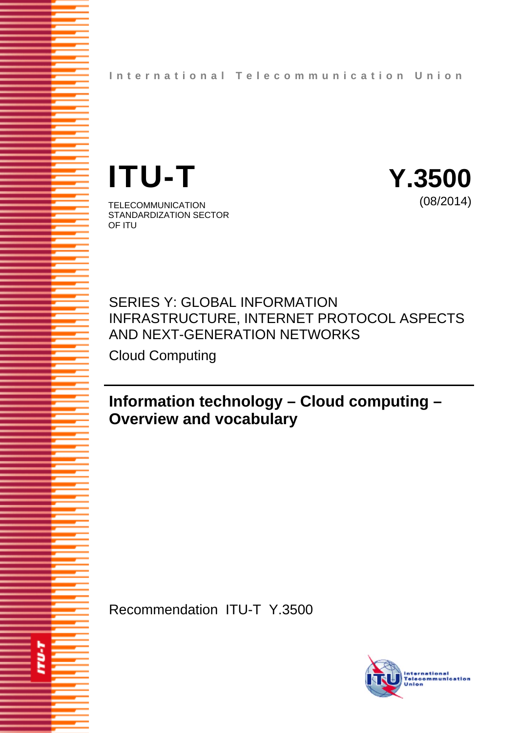

(08/2014)

TELECOMMUNICATION STANDARDIZATION SECTOR OF ITU

SERIES Y: GLOBAL INFORMATION INFRASTRUCTURE, INTERNET PROTOCOL ASPECTS AND NEXT-GENERATION NETWORKS

Cloud Computing

# **Information technology – Cloud computing – Overview and vocabulary**

Recommendation ITU-T Y.3500

ru-r

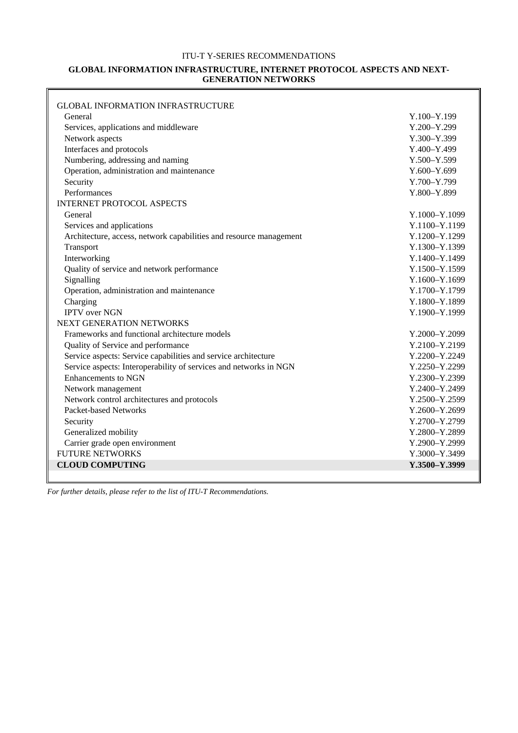#### ITU-T Y-SERIES RECOMMENDATIONS

#### **GLOBAL INFORMATION INFRASTRUCTURE, INTERNET PROTOCOL ASPECTS AND NEXT-GENERATION NETWORKS**

| <b>GLOBAL INFORMATION INFRASTRUCTURE</b>                           |                 |
|--------------------------------------------------------------------|-----------------|
| General                                                            | $Y.100 - Y.199$ |
| Services, applications and middleware                              | $Y.200 - Y.299$ |
| Network aspects                                                    | Y.300-Y.399     |
| Interfaces and protocols                                           | Y.400-Y.499     |
| Numbering, addressing and naming                                   | $Y.500 - Y.599$ |
| Operation, administration and maintenance                          | $Y.600 - Y.699$ |
| Security                                                           | Y.700-Y.799     |
| Performances                                                       | Y.800-Y.899     |
| <b>INTERNET PROTOCOL ASPECTS</b>                                   |                 |
| General                                                            | Y.1000-Y.1099   |
| Services and applications                                          | Y.1100-Y.1199   |
| Architecture, access, network capabilities and resource management | Y.1200-Y.1299   |
| Transport                                                          | Y.1300-Y.1399   |
| Interworking                                                       | Y.1400-Y.1499   |
| Quality of service and network performance                         | Y.1500-Y.1599   |
| Signalling                                                         | Y.1600-Y.1699   |
| Operation, administration and maintenance                          | Y.1700-Y.1799   |
| Charging                                                           | Y.1800-Y.1899   |
| <b>IPTV</b> over NGN                                               | Y.1900-Y.1999   |
| <b>NEXT GENERATION NETWORKS</b>                                    |                 |
| Frameworks and functional architecture models                      | Y.2000-Y.2099   |
| Quality of Service and performance                                 | Y.2100-Y.2199   |
| Service aspects: Service capabilities and service architecture     | Y.2200-Y.2249   |
| Service aspects: Interoperability of services and networks in NGN  | Y.2250-Y.2299   |
| Enhancements to NGN                                                | Y.2300-Y.2399   |
| Network management                                                 | Y.2400-Y.2499   |
| Network control architectures and protocols                        | Y.2500-Y.2599   |
| <b>Packet-based Networks</b>                                       | Y.2600-Y.2699   |
| Security                                                           | Y.2700-Y.2799   |
| Generalized mobility                                               | Y.2800-Y.2899   |
| Carrier grade open environment                                     | Y.2900-Y.2999   |
| <b>FUTURE NETWORKS</b>                                             | Y.3000-Y.3499   |
| <b>CLOUD COMPUTING</b>                                             | Y.3500-Y.3999   |
|                                                                    |                 |

*For further details, please refer to the list of ITU-T Recommendations.*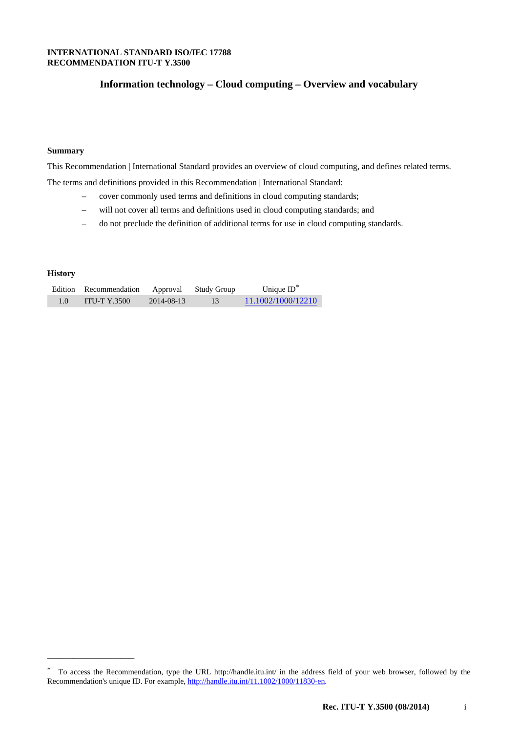#### **INTERNATIONAL STANDARD ISO/IEC 17788 RECOMMENDATION ITU-T Y.3500**

## **Information technology – Cloud computing – Overview and vocabulary**

#### **Summary**

This Recommendation | International Standard provides an overview of cloud computing, and defines related terms.

The terms and definitions provided in this Recommendation | International Standard:

- cover commonly used terms and definitions in cloud computing standards;
- will not cover all terms and definitions used in cloud computing standards; and
- do not preclude the definition of additional terms for use in cloud computing standards.

#### **History**

\_\_\_\_\_\_\_\_\_\_\_\_\_\_\_\_\_\_\_\_

|     | Edition Recommendation Approval Study Group |            | Unique $ID^*$      |
|-----|---------------------------------------------|------------|--------------------|
| 1.0 | <b>ITU-T Y.3500</b>                         | 2014-08-13 | 11.1002/1000/12210 |

To access the Recommendation, type the URL http://handle.itu.int/ in the address field of your web browser, followed by the Recommendation's unique ID. For example, http://handle.itu.int/11.1002/1000/11830-en.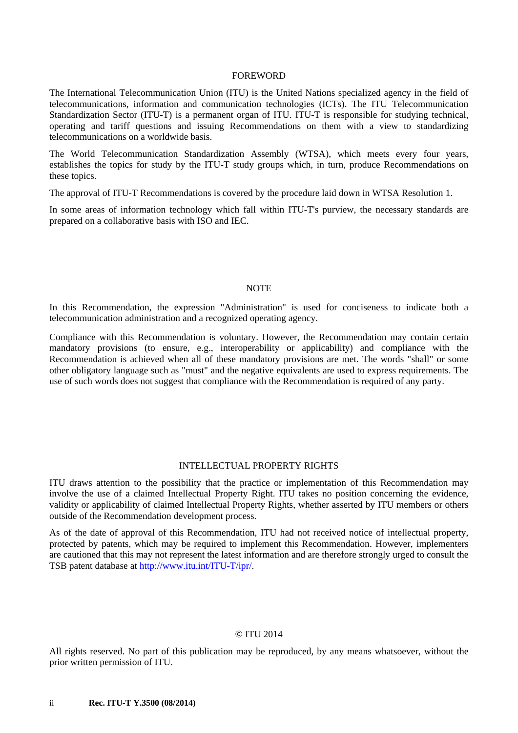#### FOREWORD

The International Telecommunication Union (ITU) is the United Nations specialized agency in the field of telecommunications, information and communication technologies (ICTs). The ITU Telecommunication Standardization Sector (ITU-T) is a permanent organ of ITU. ITU-T is responsible for studying technical, operating and tariff questions and issuing Recommendations on them with a view to standardizing telecommunications on a worldwide basis.

The World Telecommunication Standardization Assembly (WTSA), which meets every four years, establishes the topics for study by the ITU-T study groups which, in turn, produce Recommendations on these topics.

The approval of ITU-T Recommendations is covered by the procedure laid down in WTSA Resolution 1.

In some areas of information technology which fall within ITU-T's purview, the necessary standards are prepared on a collaborative basis with ISO and IEC.

#### **NOTE**

In this Recommendation, the expression "Administration" is used for conciseness to indicate both a telecommunication administration and a recognized operating agency.

Compliance with this Recommendation is voluntary. However, the Recommendation may contain certain mandatory provisions (to ensure, e.g., interoperability or applicability) and compliance with the Recommendation is achieved when all of these mandatory provisions are met. The words "shall" or some other obligatory language such as "must" and the negative equivalents are used to express requirements. The use of such words does not suggest that compliance with the Recommendation is required of any party.

#### INTELLECTUAL PROPERTY RIGHTS

ITU draws attention to the possibility that the practice or implementation of this Recommendation may involve the use of a claimed Intellectual Property Right. ITU takes no position concerning the evidence, validity or applicability of claimed Intellectual Property Rights, whether asserted by ITU members or others outside of the Recommendation development process.

As of the date of approval of this Recommendation, ITU had not received notice of intellectual property, protected by patents, which may be required to implement this Recommendation. However, implementers are cautioned that this may not represent the latest information and are therefore strongly urged to consult the TSB patent database at [http://www.itu.int/ITU-T/ipr/.](http://www.itu.int/ITU-T/ipr/)

#### © ITU 2014

All rights reserved. No part of this publication may be reproduced, by any means whatsoever, without the prior written permission of ITU.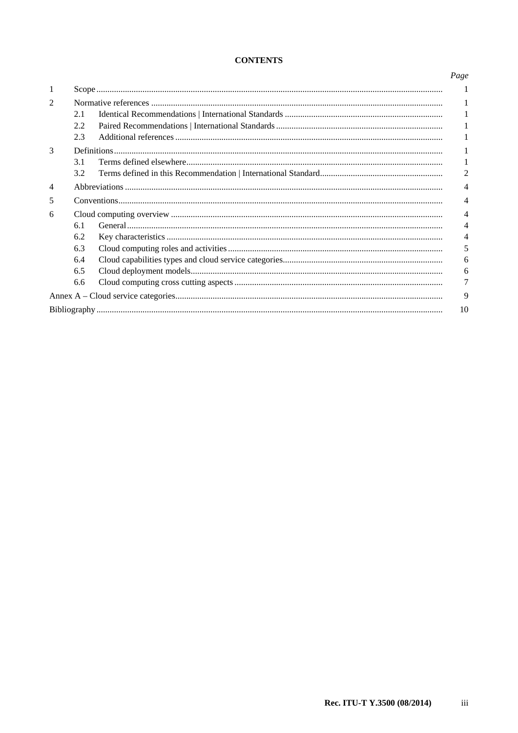|   |     | Page |
|---|-----|------|
| 1 |     |      |
| 2 |     |      |
|   | 2.1 |      |
|   | 2.2 |      |
|   | 2.3 |      |
| 3 |     |      |
|   | 3.1 |      |
|   | 3.2 | 2    |
| 4 |     | 4    |
| 5 |     | 4    |
| 6 |     | 4    |
|   | 6.1 |      |
|   | 6.2 | 4    |
|   | 6.3 | 5    |
|   | 6.4 | 6    |
|   | 6.5 | 6    |
|   | 6.6 |      |
|   |     | 9    |
|   |     | 10   |

## **CONTENTS**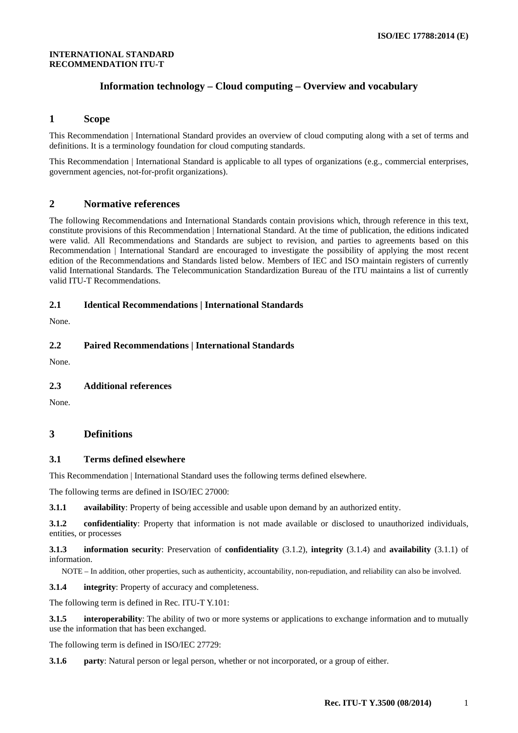#### **INTERNATIONAL STANDARD RECOMMENDATION ITU-T**

## **Information technology – Cloud computing – Overview and vocabulary**

## **1 Scope**

This Recommendation | International Standard provides an overview of cloud computing along with a set of terms and definitions. It is a terminology foundation for cloud computing standards.

This Recommendation | International Standard is applicable to all types of organizations (e.g., commercial enterprises, government agencies, not-for-profit organizations).

## **2 Normative references**

The following Recommendations and International Standards contain provisions which, through reference in this text, constitute provisions of this Recommendation | International Standard. At the time of publication, the editions indicated were valid. All Recommendations and Standards are subject to revision, and parties to agreements based on this Recommendation | International Standard are encouraged to investigate the possibility of applying the most recent edition of the Recommendations and Standards listed below. Members of IEC and ISO maintain registers of currently valid International Standards. The Telecommunication Standardization Bureau of the ITU maintains a list of currently valid ITU-T Recommendations.

#### **2.1 Identical Recommendations | International Standards**

None.

#### **2.2 Paired Recommendations | International Standards**

None.

## **2.3 Additional references**

None.

## **3 Definitions**

#### **3.1 Terms defined elsewhere**

This Recommendation | International Standard uses the following terms defined elsewhere.

The following terms are defined in ISO/IEC 27000:

**3.1.1** availability: Property of being accessible and usable upon demand by an authorized entity.

**3.1.2 confidentiality**: Property that information is not made available or disclosed to unauthorized individuals, entities, or processes

**3.1.3 information security**: Preservation of **confidentiality** (3.1.2), **integrity** (3.1.4) and **availability** (3.1.1) of information.

NOTE – In addition, other properties, such as authenticity, accountability, non-repudiation, and reliability can also be involved.

**3.1.4 integrity**: Property of accuracy and completeness.

The following term is defined in Rec. ITU-T Y.101:

**3.1.5 interoperability**: The ability of two or more systems or applications to exchange information and to mutually use the information that has been exchanged.

The following term is defined in ISO/IEC 27729:

**3.1.6 party**: Natural person or legal person, whether or not incorporated, or a group of either.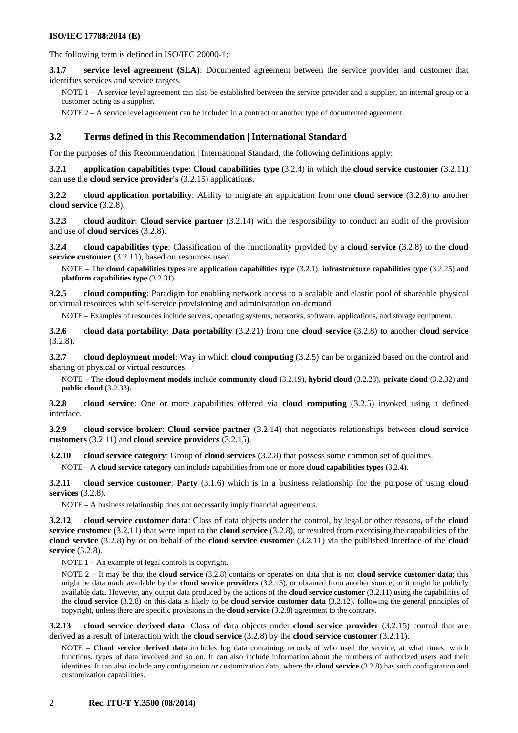#### **ISO/IEC 17788:2014 (E)**

The following term is defined in ISO/IEC 20000-1:

**3.1.7 service level agreement (SLA)**: Documented agreement between the service provider and customer that identifies services and service targets.

NOTE 1 – A service level agreement can also be established between the service provider and a supplier, an internal group or a customer acting as a supplier.

NOTE 2 – A service level agreement can be included in a contract or another type of documented agreement.

#### **3.2 Terms defined in this Recommendation | International Standard**

For the purposes of this Recommendation | International Standard, the following definitions apply:

**3.2.1 application capabilities type**: **Cloud capabilities type** (3.2.4) in which the **cloud service customer** (3.2.11) can use the **cloud service provider's** (3.2.15) applications.

**3.2.2 cloud application portability**: Ability to migrate an application from one **cloud service** (3.2.8) to another **cloud service** (3.2.8).

**3.2.3 cloud auditor**: **Cloud service partner** (3.2.14) with the responsibility to conduct an audit of the provision and use of **cloud services** (3.2.8).

**3.2.4 cloud capabilities type**: Classification of the functionality provided by a **cloud service** (3.2.8) to the **cloud service customer** (3.2.11), based on resources used.

NOTE – The **cloud capabilities types** are **application capabilities type** (3.2.1), **infrastructure capabilities type** (3.2.25) and **platform capabilities type** (3.2.31).

**3.2.5 cloud computing**: Paradigm for enabling network access to a scalable and elastic pool of shareable physical or virtual resources with self-service provisioning and administration on-demand.

NOTE – Examples of resources include servers, operating systems, networks, software, applications, and storage equipment.

**3.2.6 cloud data portability**: **Data portability** (3.2.21) from one **cloud service** (3.2.8) to another **cloud service** (3.2.8).

**3.2.7 cloud deployment model**: Way in which **cloud computing** (3.2.5) can be organized based on the control and sharing of physical or virtual resources.

NOTE – The **cloud deployment models** include **community cloud** (3.2.19), **hybrid cloud** (3.2.23), **private cloud** (3.2.32) and **public cloud** (3.2.33).

**3.2.8** cloud service: One or more capabilities offered via cloud computing (3.2.5) invoked using a defined interface.

**3.2.9 cloud service broker**: **Cloud service partner** (3.2.14) that negotiates relationships between **cloud service customers** (3.2.11) and **cloud service providers** (3.2.15).

**3.2.10 cloud service category**: Group of **cloud services** (3.2.8) that possess some common set of qualities.

NOTE – A **cloud service category** can include capabilities from one or more **cloud capabilities types** (3.2.4).

**3.2.11 cloud service customer**: **Party** (3.1.6) which is in a business relationship for the purpose of using **cloud services** (3.2.8).

NOTE – A business relationship does not necessarily imply financial agreements.

**3.2.12 cloud service customer data**: Class of data objects under the control, by legal or other reasons, of the **cloud service customer** (3.2.11) that were input to the **cloud service** (3.2.8), or resulted from exercising the capabilities of the **cloud service** (3.2.8) by or on behalf of the **cloud service customer** (3.2.11) via the published interface of the **cloud service** (3.2.8).

NOTE 1 – An example of legal controls is copyright.

NOTE 2 – It may be that the **cloud service** (3.2.8) contains or operates on data that is not **cloud service customer data**; this might be data made available by the **cloud service providers** (3.2.15), or obtained from another source, or it might be publicly available data. However, any output data produced by the actions of the **cloud service customer** (3.2.11) using the capabilities of the **cloud service** (3.2.8) on this data is likely to be **cloud service customer data** (3.2.12), following the general principles of copyright, unless there are specific provisions in the **cloud service** (3.2.8) agreement to the contrary.

**3.2.13 cloud service derived data**: Class of data objects under **cloud service provider** (3.2.15) control that are derived as a result of interaction with the **cloud service** (3.2.8) by the **cloud service customer** (3.2.11).

NOTE – **Cloud service derived data** includes log data containing records of who used the service, at what times, which functions, types of data involved and so on. It can also include information about the numbers of authorized users and their identities. It can also include any configuration or customization data, where the **cloud service** (3.2.8) has such configuration and customization capabilities.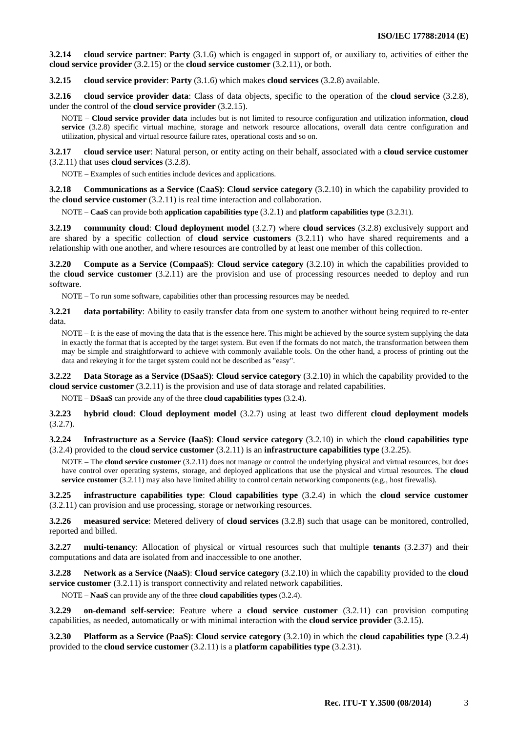**3.2.14 cloud service partner**: **Party** (3.1.6) which is engaged in support of, or auxiliary to, activities of either the **cloud service provider** (3.2.15) or the **cloud service customer** (3.2.11), or both.

**3.2.15 cloud service provider**: **Party** (3.1.6) which makes **cloud services** (3.2.8) available.

**3.2.16 cloud service provider data**: Class of data objects, specific to the operation of the **cloud service** (3.2.8), under the control of the **cloud service provider** (3.2.15).

NOTE – **Cloud service provider data** includes but is not limited to resource configuration and utilization information, **cloud service** (3.2.8) specific virtual machine, storage and network resource allocations, overall data centre configuration and utilization, physical and virtual resource failure rates, operational costs and so on.

**3.2.17 cloud service user**: Natural person, or entity acting on their behalf, associated with a **cloud service customer**  (3.2.11) that uses **cloud services** (3.2.8).

NOTE – Examples of such entities include devices and applications.

**3.2.18 Communications as a Service (CaaS)**: **Cloud service category** (3.2.10) in which the capability provided to the **cloud service customer** (3.2.11) is real time interaction and collaboration.

NOTE – **CaaS** can provide both **application capabilities type** (3.2.1) and **platform capabilities type** (3.2.31).

**3.2.19 community cloud**: **Cloud deployment model** (3.2.7) where **cloud services** (3.2.8) exclusively support and are shared by a specific collection of **cloud service customers** (3.2.11) who have shared requirements and a relationship with one another, and where resources are controlled by at least one member of this collection.

**3.2.20 Compute as a Service (CompaaS)**: **Cloud service category** (3.2.10) in which the capabilities provided to the **cloud service customer** (3.2.11) are the provision and use of processing resources needed to deploy and run software.

NOTE – To run some software, capabilities other than processing resources may be needed.

**3.2.21** data portability: Ability to easily transfer data from one system to another without being required to re-enter data.

NOTE – It is the ease of moving the data that is the essence here. This might be achieved by the source system supplying the data in exactly the format that is accepted by the target system. But even if the formats do not match, the transformation between them may be simple and straightforward to achieve with commonly available tools. On the other hand, a process of printing out the data and rekeying it for the target system could not be described as "easy".

**3.2.22 Data Storage as a Service (DSaaS)**: **Cloud service category** (3.2.10) in which the capability provided to the **cloud service customer** (3.2.11) is the provision and use of data storage and related capabilities.

NOTE – **DSaaS** can provide any of the three **cloud capabilities types** (3.2.4).

**3.2.23 hybrid cloud**: **Cloud deployment model** (3.2.7) using at least two different **cloud deployment models** (3.2.7).

**3.2.24 Infrastructure as a Service (IaaS)**: **Cloud service category** (3.2.10) in which the **cloud capabilities type** (3.2.4) provided to the **cloud service customer** (3.2.11) is an **infrastructure capabilities type** (3.2.25).

NOTE – The **cloud service customer** (3.2.11) does not manage or control the underlying physical and virtual resources, but does have control over operating systems, storage, and deployed applications that use the physical and virtual resources. The **cloud service customer** (3.2.11) may also have limited ability to control certain networking components (e.g., host firewalls).

**3.2.25 infrastructure capabilities type**: **Cloud capabilities type** (3.2.4) in which the **cloud service customer**  (3.2.11) can provision and use processing, storage or networking resources.

**3.2.26 measured service**: Metered delivery of **cloud services** (3.2.8) such that usage can be monitored, controlled, reported and billed.

**3.2.27 multi-tenancy**: Allocation of physical or virtual resources such that multiple **tenants** (3.2.37) and their computations and data are isolated from and inaccessible to one another.

**3.2.28 Network as a Service (NaaS)**: **Cloud service category** (3.2.10) in which the capability provided to the **cloud service customer** (3.2.11) is transport connectivity and related network capabilities.

NOTE – **NaaS** can provide any of the three **cloud capabilities types** (3.2.4).

**3.2.29 on-demand self-service**: Feature where a **cloud service customer** (3.2.11) can provision computing capabilities, as needed, automatically or with minimal interaction with the **cloud service provider** (3.2.15).

**3.2.30 Platform as a Service (PaaS)**: **Cloud service category** (3.2.10) in which the **cloud capabilities type** (3.2.4) provided to the **cloud service customer** (3.2.11) is a **platform capabilities type** (3.2.31).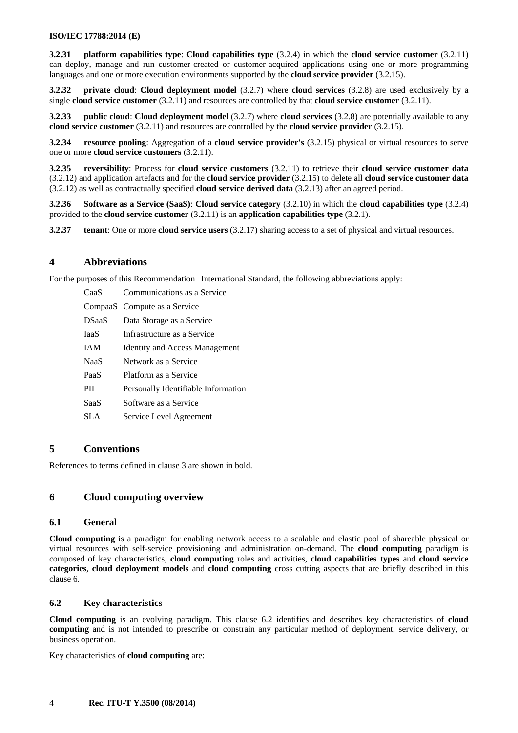#### **ISO/IEC 17788:2014 (E)**

**3.2.31 platform capabilities type**: **Cloud capabilities type** (3.2.4) in which the **cloud service customer** (3.2.11) can deploy, manage and run customer-created or customer-acquired applications using one or more programming languages and one or more execution environments supported by the **cloud service provider** (3.2.15).

**3.2.32 private cloud**: **Cloud deployment model** (3.2.7) where **cloud services** (3.2.8) are used exclusively by a single **cloud service customer** (3.2.11) and resources are controlled by that **cloud service customer** (3.2.11).

**3.2.33 public cloud**: **Cloud deployment model** (3.2.7) where **cloud services** (3.2.8) are potentially available to any **cloud service customer** (3.2.11) and resources are controlled by the **cloud service provider** (3.2.15).

**3.2.34 resource pooling**: Aggregation of a **cloud service provider's** (3.2.15) physical or virtual resources to serve one or more **cloud service customers** (3.2.11).

**3.2.35 reversibility**: Process for **cloud service customers** (3.2.11) to retrieve their **cloud service customer data** (3.2.12) and application artefacts and for the **cloud service provider** (3.2.15) to delete all **cloud service customer data** (3.2.12) as well as contractually specified **cloud service derived data** (3.2.13) after an agreed period.

**3.2.36 Software as a Service (SaaS)**: **Cloud service category** (3.2.10) in which the **cloud capabilities type** (3.2.4) provided to the **cloud service customer** (3.2.11) is an **application capabilities type** (3.2.1).

**3.2.37** tenant: One or more **cloud service users** (3.2.17) sharing access to a set of physical and virtual resources.

#### **4 Abbreviations**

For the purposes of this Recommendation | International Standard, the following abbreviations apply:

CaaS Communications as a Service CompaaS Compute as a Service DSaaS Data Storage as a Service IaaS Infrastructure as a Service IAM Identity and Access Management NaaS Network as a Service PaaS Platform as a Service PII Personally Identifiable Information SaaS Software as a Service SLA Service Level Agreement

## **5 Conventions**

References to terms defined in clause 3 are shown in bold.

## **6 Cloud computing overview**

#### **6.1 General**

**Cloud computing** is a paradigm for enabling network access to a scalable and elastic pool of shareable physical or virtual resources with self-service provisioning and administration on-demand. The **cloud computing** paradigm is composed of key characteristics, **cloud computing** roles and activities, **cloud capabilities types** and **cloud service categories**, **cloud deployment models** and **cloud computing** cross cutting aspects that are briefly described in this clause 6.

#### **6.2 Key characteristics**

**Cloud computing** is an evolving paradigm. This clause 6.2 identifies and describes key characteristics of **cloud computing** and is not intended to prescribe or constrain any particular method of deployment, service delivery, or business operation.

Key characteristics of **cloud computing** are: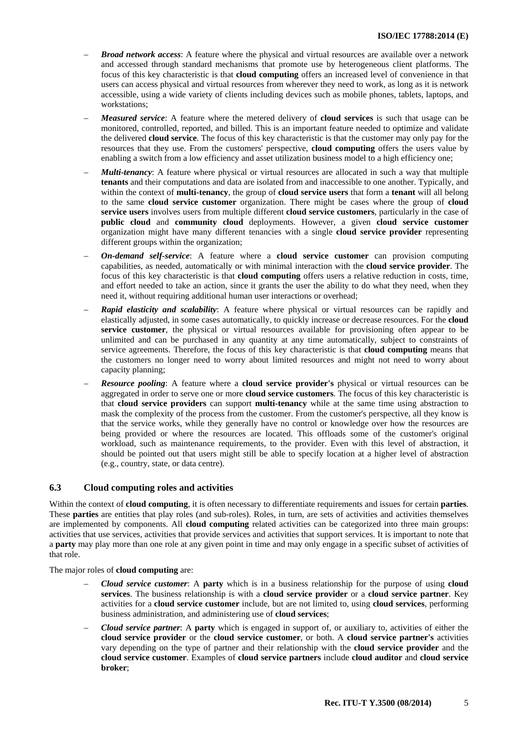- *Broad network access:* A feature where the physical and virtual resources are available over a network and accessed through standard mechanisms that promote use by heterogeneous client platforms. The focus of this key characteristic is that **cloud computing** offers an increased level of convenience in that users can access physical and virtual resources from wherever they need to work, as long as it is network accessible, using a wide variety of clients including devices such as mobile phones, tablets, laptops, and workstations;
- *Measured service*: A feature where the metered delivery of **cloud services** is such that usage can be monitored, controlled, reported, and billed. This is an important feature needed to optimize and validate the delivered **cloud service**. The focus of this key characteristic is that the customer may only pay for the resources that they use. From the customers' perspective, **cloud computing** offers the users value by enabling a switch from a low efficiency and asset utilization business model to a high efficiency one;
- *Multi-tenancy*: A feature where physical or virtual resources are allocated in such a way that multiple **tenants** and their computations and data are isolated from and inaccessible to one another. Typically, and within the context of **multi-tenancy**, the group of **cloud service users** that form a **tenant** will all belong to the same **cloud service customer** organization. There might be cases where the group of **cloud service users** involves users from multiple different **cloud service customers**, particularly in the case of **public cloud** and **community cloud** deployments. However, a given **cloud service customer** organization might have many different tenancies with a single **cloud service provider** representing different groups within the organization;
- *On-demand self-service*: A feature where a **cloud service customer** can provision computing capabilities, as needed, automatically or with minimal interaction with the **cloud service provider**. The focus of this key characteristic is that **cloud computing** offers users a relative reduction in costs, time, and effort needed to take an action, since it grants the user the ability to do what they need, when they need it, without requiring additional human user interactions or overhead;
- *Rapid elasticity and scalability*: A feature where physical or virtual resources can be rapidly and elastically adjusted, in some cases automatically, to quickly increase or decrease resources. For the **cloud service customer**, the physical or virtual resources available for provisioning often appear to be unlimited and can be purchased in any quantity at any time automatically, subject to constraints of service agreements. Therefore, the focus of this key characteristic is that **cloud computing** means that the customers no longer need to worry about limited resources and might not need to worry about capacity planning;
- *Resource pooling*: A feature where a **cloud service provider's** physical or virtual resources can be aggregated in order to serve one or more **cloud service customers**. The focus of this key characteristic is that **cloud service providers** can support **multi-tenancy** while at the same time using abstraction to mask the complexity of the process from the customer. From the customer's perspective, all they know is that the service works, while they generally have no control or knowledge over how the resources are being provided or where the resources are located. This offloads some of the customer's original workload, such as maintenance requirements, to the provider. Even with this level of abstraction, it should be pointed out that users might still be able to specify location at a higher level of abstraction (e.g., country, state, or data centre).

## **6.3 Cloud computing roles and activities**

Within the context of **cloud computing**, it is often necessary to differentiate requirements and issues for certain **parties**. These **parties** are entities that play roles (and sub-roles). Roles, in turn, are sets of activities and activities themselves are implemented by components. All **cloud computing** related activities can be categorized into three main groups: activities that use services, activities that provide services and activities that support services. It is important to note that a **party** may play more than one role at any given point in time and may only engage in a specific subset of activities of that role.

The major roles of **cloud computing** are:

- *Cloud service customer*: A **party** which is in a business relationship for the purpose of using **cloud services**. The business relationship is with a **cloud service provider** or a **cloud service partner**. Key activities for a **cloud service customer** include, but are not limited to, using **cloud services**, performing business administration, and administering use of **cloud services**;
- *Cloud service partner*: A **party** which is engaged in support of, or auxiliary to, activities of either the **cloud service provider** or the **cloud service customer**, or both. A **cloud service partner's** activities vary depending on the type of partner and their relationship with the **cloud service provider** and the **cloud service customer**. Examples of **cloud service partners** include **cloud auditor** and **cloud service broker**;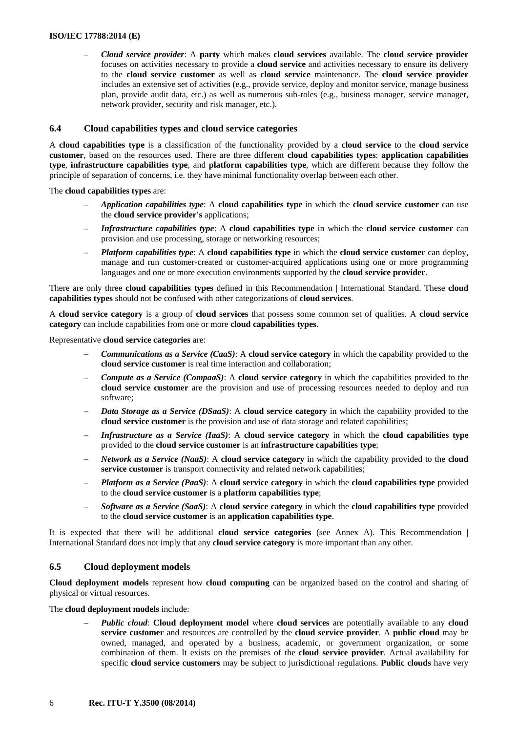*– Cloud service provider*: A **party** which makes **cloud services** available. The **cloud service provider** focuses on activities necessary to provide a **cloud service** and activities necessary to ensure its delivery to the **cloud service customer** as well as **cloud service** maintenance. The **cloud service provider** includes an extensive set of activities (e.g., provide service, deploy and monitor service, manage business plan, provide audit data, etc.) as well as numerous sub-roles (e.g., business manager, service manager, network provider, security and risk manager, etc.).

#### **6.4 Cloud capabilities types and cloud service categories**

A **cloud capabilities type** is a classification of the functionality provided by a **cloud service** to the **cloud service customer**, based on the resources used. There are three different **cloud capabilities types**: **application capabilities type**, **infrastructure capabilities type**, and **platform capabilities type**, which are different because they follow the principle of separation of concerns, i.e. they have minimal functionality overlap between each other.

The **cloud capabilities types** are:

- *Application capabilities type*: A **cloud capabilities type** in which the **cloud service customer** can use the **cloud service provider's** applications;
- *Infrastructure capabilities type*: A **cloud capabilities type** in which the **cloud service customer** can provision and use processing, storage or networking resources;
- *Platform capabilities type*: A **cloud capabilities type** in which the **cloud service customer** can deploy, manage and run customer-created or customer-acquired applications using one or more programming languages and one or more execution environments supported by the **cloud service provider**.

There are only three **cloud capabilities types** defined in this Recommendation | International Standard. These **cloud capabilities types** should not be confused with other categorizations of **cloud services**.

A **cloud service category** is a group of **cloud services** that possess some common set of qualities. A **cloud service category** can include capabilities from one or more **cloud capabilities types**.

Representative **cloud service categories** are:

- *Communications as a Service (CaaS)*: A **cloud service category** in which the capability provided to the **cloud service customer** is real time interaction and collaboration;
- *Compute as a Service (CompaaS)*: A **cloud service category** in which the capabilities provided to the **cloud service customer** are the provision and use of processing resources needed to deploy and run software;
- *Data Storage as a Service (DSaaS)*: A **cloud service category** in which the capability provided to the **cloud service customer** is the provision and use of data storage and related capabilities;
- *Infrastructure as a Service (IaaS)*: A **cloud service category** in which the **cloud capabilities type** provided to the **cloud service customer** is an **infrastructure capabilities type**;
- *Network as a Service (NaaS)*: A **cloud service category** in which the capability provided to the **cloud service customer** is transport connectivity and related network capabilities;
- *Platform as a Service (PaaS)*: A **cloud service category** in which the **cloud capabilities type** provided to the **cloud service customer** is a **platform capabilities type**;
- *Software as a Service (SaaS)*: A **cloud service category** in which the **cloud capabilities type** provided to the **cloud service customer** is an **application capabilities type**.

It is expected that there will be additional **cloud service categories** (see Annex A). This Recommendation | International Standard does not imply that any **cloud service category** is more important than any other.

#### **6.5 Cloud deployment models**

**Cloud deployment models** represent how **cloud computing** can be organized based on the control and sharing of physical or virtual resources.

The **cloud deployment models** include:

*– Public cloud*: **Cloud deployment model** where **cloud services** are potentially available to any **cloud service customer** and resources are controlled by the **cloud service provider**. A **public cloud** may be owned, managed, and operated by a business, academic, or government organization, or some combination of them. It exists on the premises of the **cloud service provider**. Actual availability for specific **cloud service customers** may be subject to jurisdictional regulations. **Public clouds** have very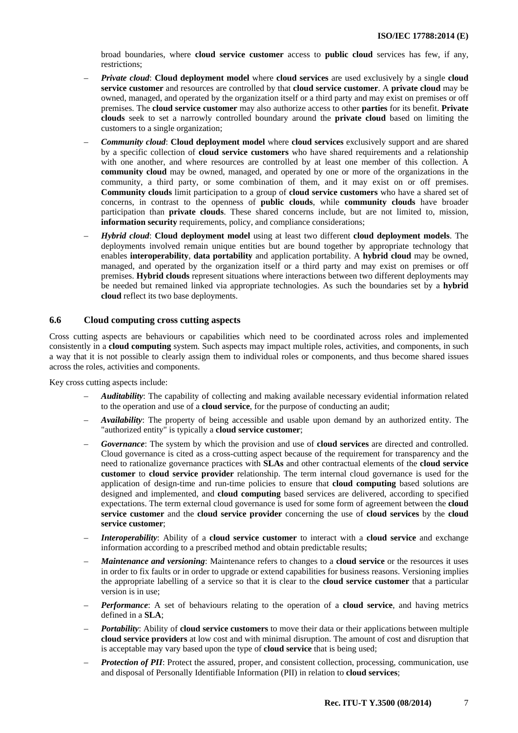broad boundaries, where **cloud service customer** access to **public cloud** services has few, if any, restrictions;

- *Private cloud*: **Cloud deployment model** where **cloud services** are used exclusively by a single **cloud service customer** and resources are controlled by that **cloud service customer**. A **private cloud** may be owned, managed, and operated by the organization itself or a third party and may exist on premises or off premises. The **cloud service customer** may also authorize access to other **parties** for its benefit. **Private clouds** seek to set a narrowly controlled boundary around the **private cloud** based on limiting the customers to a single organization;
- *Community cloud*: **Cloud deployment model** where **cloud services** exclusively support and are shared by a specific collection of **cloud service customers** who have shared requirements and a relationship with one another, and where resources are controlled by at least one member of this collection. A **community cloud** may be owned, managed, and operated by one or more of the organizations in the community, a third party, or some combination of them, and it may exist on or off premises. **Community clouds** limit participation to a group of **cloud service customers** who have a shared set of concerns, in contrast to the openness of **public clouds**, while **community clouds** have broader participation than **private clouds**. These shared concerns include, but are not limited to, mission, **information security** requirements, policy, and compliance considerations;
- *Hybrid cloud*: **Cloud deployment model** using at least two different **cloud deployment models**. The deployments involved remain unique entities but are bound together by appropriate technology that enables **interoperability**, **data portability** and application portability. A **hybrid cloud** may be owned, managed, and operated by the organization itself or a third party and may exist on premises or off premises. **Hybrid clouds** represent situations where interactions between two different deployments may be needed but remained linked via appropriate technologies. As such the boundaries set by a **hybrid cloud** reflect its two base deployments.

#### **6.6 Cloud computing cross cutting aspects**

Cross cutting aspects are behaviours or capabilities which need to be coordinated across roles and implemented consistently in a **cloud computing** system. Such aspects may impact multiple roles, activities, and components, in such a way that it is not possible to clearly assign them to individual roles or components, and thus become shared issues across the roles, activities and components.

Key cross cutting aspects include:

- *Auditability*: The capability of collecting and making available necessary evidential information related to the operation and use of a **cloud service**, for the purpose of conducting an audit;
- *Availability*: The property of being accessible and usable upon demand by an authorized entity. The "authorized entity" is typically a **cloud service customer**;
- *Governance*: The system by which the provision and use of **cloud services** are directed and controlled. Cloud governance is cited as a cross-cutting aspect because of the requirement for transparency and the need to rationalize governance practices with **SLAs** and other contractual elements of the **cloud service customer** to **cloud service provider** relationship. The term internal cloud governance is used for the application of design-time and run-time policies to ensure that **cloud computing** based solutions are designed and implemented, and **cloud computing** based services are delivered, according to specified expectations. The term external cloud governance is used for some form of agreement between the **cloud service customer** and the **cloud service provider** concerning the use of **cloud services** by the **cloud service customer**;
- *Interoperability*: Ability of a **cloud service customer** to interact with a **cloud service** and exchange information according to a prescribed method and obtain predictable results;
- *Maintenance and versioning*: Maintenance refers to changes to a **cloud service** or the resources it uses in order to fix faults or in order to upgrade or extend capabilities for business reasons. Versioning implies the appropriate labelling of a service so that it is clear to the **cloud service customer** that a particular version is in use;
- *Performance*: A set of behaviours relating to the operation of a **cloud service**, and having metrics defined in a **SLA**;
- *Portability*: Ability of **cloud service customers** to move their data or their applications between multiple **cloud service providers** at low cost and with minimal disruption. The amount of cost and disruption that is acceptable may vary based upon the type of **cloud service** that is being used;
- *Protection of PII*: Protect the assured, proper, and consistent collection, processing, communication, use and disposal of Personally Identifiable Information (PII) in relation to **cloud services**;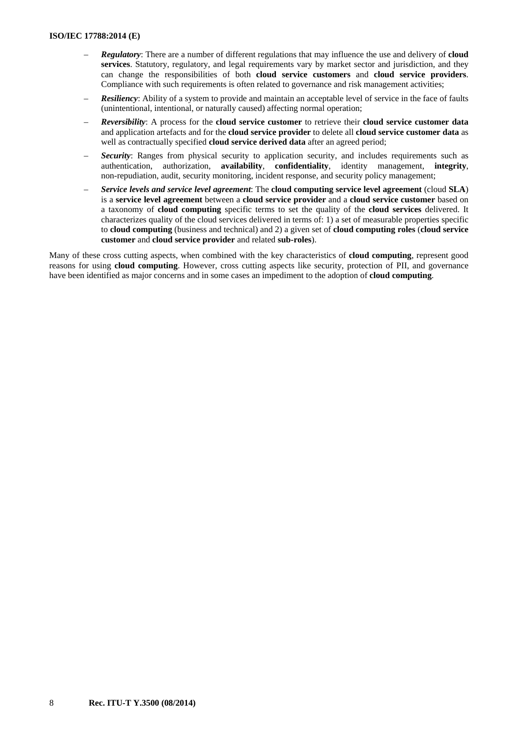- *Regulatory*: There are a number of different regulations that may influence the use and delivery of **cloud services**. Statutory, regulatory, and legal requirements vary by market sector and jurisdiction, and they can change the responsibilities of both **cloud service customers** and **cloud service providers**. Compliance with such requirements is often related to governance and risk management activities;
- *Resiliency*: Ability of a system to provide and maintain an acceptable level of service in the face of faults (unintentional, intentional, or naturally caused) affecting normal operation;
- *Reversibility*: A process for the **cloud service customer** to retrieve their **cloud service customer data** and application artefacts and for the **cloud service provider** to delete all **cloud service customer data** as well as contractually specified **cloud service derived data** after an agreed period;
- *Security*: Ranges from physical security to application security, and includes requirements such as authentication, authorization, **availability**, **confidentiality**, identity management, **integrity**, non-repudiation, audit, security monitoring, incident response, and security policy management;
- *Service levels and service level agreement*: The **cloud computing service level agreement** (cloud **SLA**) is a **service level agreement** between a **cloud service provider** and a **cloud service customer** based on a taxonomy of **cloud computing** specific terms to set the quality of the **cloud services** delivered. It characterizes quality of the cloud services delivered in terms of: 1) a set of measurable properties specific to **cloud computing** (business and technical) and 2) a given set of **cloud computing roles** (**cloud service customer** and **cloud service provider** and related **sub-roles**).

Many of these cross cutting aspects, when combined with the key characteristics of **cloud computing**, represent good reasons for using **cloud computing**. However, cross cutting aspects like security, protection of PII, and governance have been identified as major concerns and in some cases an impediment to the adoption of **cloud computing**.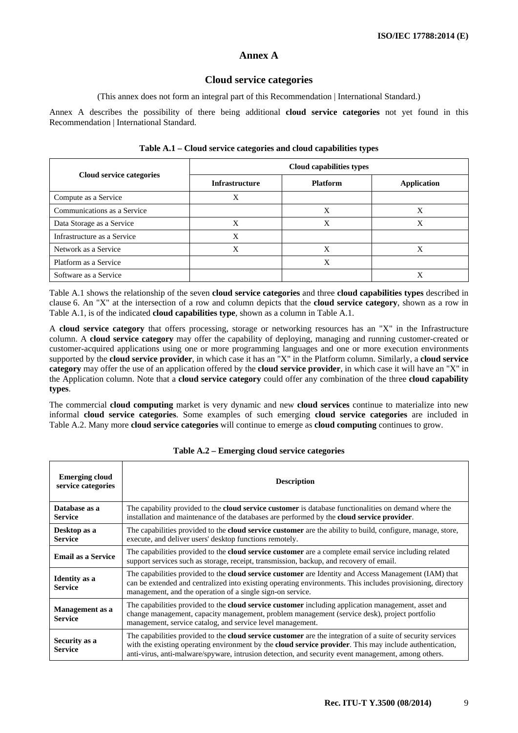## **Annex A**

#### **Cloud service categories**

(This annex does not form an integral part of this Recommendation | International Standard.)

Annex A describes the possibility of there being additional **cloud service categories** not yet found in this Recommendation | International Standard.

|                             | Cloud capabilities types |                 |                    |
|-----------------------------|--------------------------|-----------------|--------------------|
| Cloud service categories    | <b>Infrastructure</b>    | <b>Platform</b> | <b>Application</b> |
| Compute as a Service        | X                        |                 |                    |
| Communications as a Service |                          | X               | X                  |
| Data Storage as a Service   | X                        | X               | X                  |
| Infrastructure as a Service | X                        |                 |                    |
| Network as a Service        | X                        | X               | X                  |
| Platform as a Service       |                          | X               |                    |
| Software as a Service       |                          |                 | X                  |

#### **Table A.1 – Cloud service categories and cloud capabilities types**

Table A.1 shows the relationship of the seven **cloud service categories** and three **cloud capabilities types** described in clause 6. An "X" at the intersection of a row and column depicts that the **cloud service category**, shown as a row in Table A.1, is of the indicated **cloud capabilities type**, shown as a column in Table A.1.

A **cloud service category** that offers processing, storage or networking resources has an "X" in the Infrastructure column. A **cloud service category** may offer the capability of deploying, managing and running customer-created or customer-acquired applications using one or more programming languages and one or more execution environments supported by the **cloud service provider**, in which case it has an "X" in the Platform column. Similarly, a **cloud service category** may offer the use of an application offered by the **cloud service provider**, in which case it will have an "X" in the Application column. Note that a **cloud service category** could offer any combination of the three **cloud capability types**.

The commercial **cloud computing** market is very dynamic and new **cloud services** continue to materialize into new informal **cloud service categories**. Some examples of such emerging **cloud service categories** are included in Table A.2. Many more **cloud service categories** will continue to emerge as **cloud computing** continues to grow.

| <b>Emerging cloud</b><br>service categories | <b>Description</b>                                                                                                                                                                                                                                                                                                                           |
|---------------------------------------------|----------------------------------------------------------------------------------------------------------------------------------------------------------------------------------------------------------------------------------------------------------------------------------------------------------------------------------------------|
| Database as a<br><b>Service</b>             | The capability provided to the <b>cloud service customer</b> is database functionalities on demand where the<br>installation and maintenance of the databases are performed by the cloud service provider.                                                                                                                                   |
| Desktop as a<br><b>Service</b>              | The capabilities provided to the <b>cloud service customer</b> are the ability to build, configure, manage, store,<br>execute, and deliver users' desktop functions remotely.                                                                                                                                                                |
| <b>Email as a Service</b>                   | The capabilities provided to the <b>cloud service customer</b> are a complete email service including related<br>support services such as storage, receipt, transmission, backup, and recovery of email.                                                                                                                                     |
| Identity as a<br><b>Service</b>             | The capabilities provided to the <b>cloud service customer</b> are Identity and Access Management (IAM) that<br>can be extended and centralized into existing operating environments. This includes provisioning, directory<br>management, and the operation of a single sign-on service.                                                    |
| Management as a<br><b>Service</b>           | The capabilities provided to the <b>cloud service customer</b> including application management, asset and<br>change management, capacity management, problem management (service desk), project portfolio<br>management, service catalog, and service level management.                                                                     |
| Security as a<br><b>Service</b>             | The capabilities provided to the <b>cloud service customer</b> are the integration of a suite of security services<br>with the existing operating environment by the <b>cloud service provider</b> . This may include authentication,<br>anti-virus, anti-malware/spyware, intrusion detection, and security event management, among others. |

#### **Table A.2 – Emerging cloud service categories**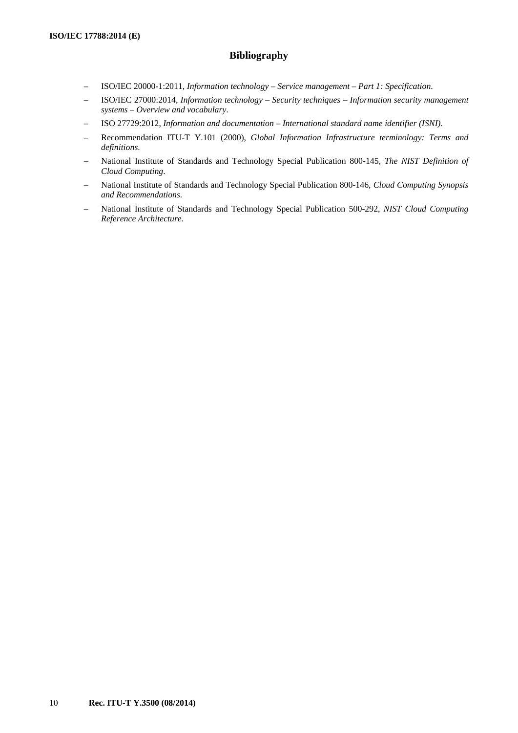## **Bibliography**

- ISO/IEC 20000-1:2011, *Information technology – Service management – Part 1: Specification*.
- ISO/IEC 27000:2014, *Information technology – Security techniques – Information security management systems – Overview and vocabulary*.
- ISO 27729:2012, *Information and documentation – International standard name identifier (ISNI)*.
- Recommendation ITU-T Y.101 (2000), *Global Information Infrastructure terminology: Terms and definitions*.
- National Institute of Standards and Technology Special Publication 800-145, *The NIST Definition of Cloud Computing*.
- National Institute of Standards and Technology Special Publication 800-146, *Cloud Computing Synopsis and Recommendations*.
- National Institute of Standards and Technology Special Publication 500-292, *NIST Cloud Computing Reference Architecture*.